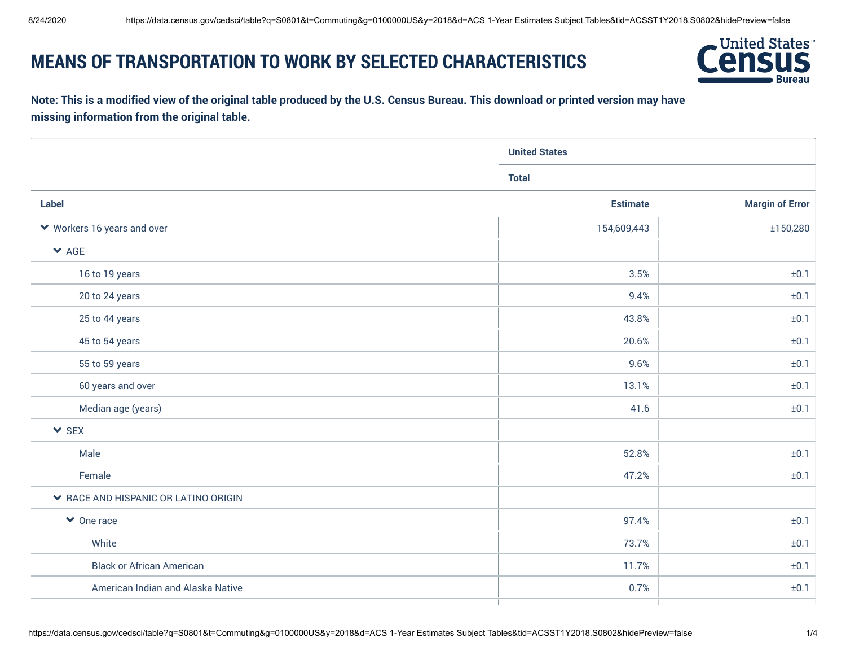## **MEANS OF TRANSPORTATION TO WORK BY SELECTED CHARACTERISTICS**



## **Note: This is a modified view of the original table produced by the U.S. Census Bureau. This download or printed version may have missing information from the original table.**

| <b>United States</b> |                        |
|----------------------|------------------------|
| <b>Total</b>         |                        |
| <b>Estimate</b>      | <b>Margin of Error</b> |
| 154,609,443          | ±150,280               |
|                      |                        |
| 3.5%                 | ±0.1                   |
| 9.4%                 | ±0.1                   |
| 43.8%                | ±0.1                   |
| 20.6%                | ±0.1                   |
| 9.6%                 | ±0.1                   |
| 13.1%                | ±0.1                   |
| 41.6                 | ±0.1                   |
|                      |                        |
| 52.8%                | ±0.1                   |
| 47.2%                | ±0.1                   |
|                      |                        |
| 97.4%                | ±0.1                   |
| 73.7%                | ±0.1                   |
| 11.7%                | ±0.1                   |
| 0.7%                 | ±0.1                   |
|                      |                        |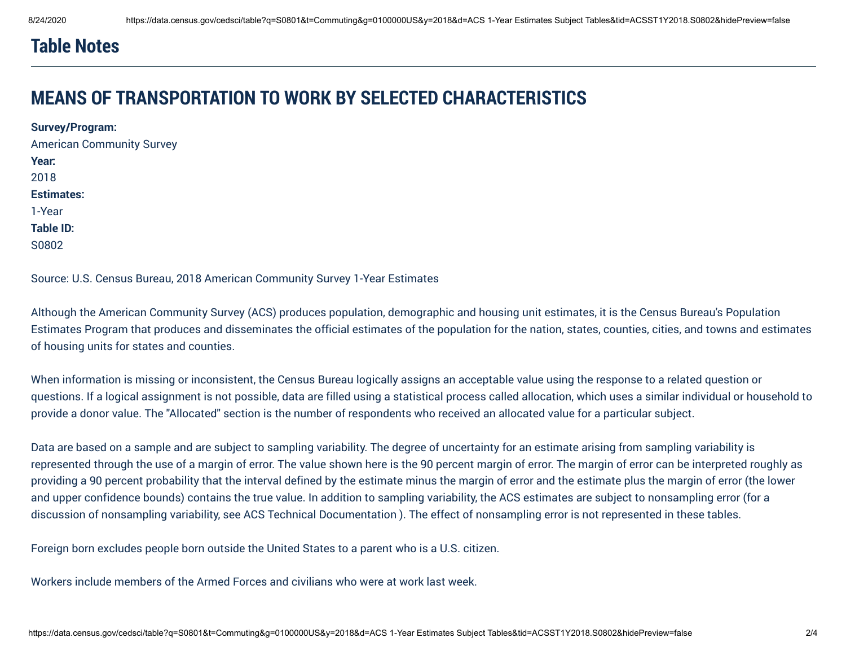## **Table Notes**

## **MEANS OF TRANSPORTATION TO WORK BY SELECTED CHARACTERISTICS**

**Survey/Program:**  American Community Survey **Year:**  2018 **Estimates:**  1-Year **Table ID:**  S0802

Source: U.S. Census Bureau, 2018 American Community Survey 1-Year Estimates

Although the American Community Survey (ACS) produces population, demographic and housing unit estimates, it is the Census Bureau's Population Estimates Program that produces and disseminates the official estimates of the population for the nation, states, counties, cities, and towns and estimates of housing units for states and counties.

When information is missing or inconsistent, the Census Bureau logically assigns an acceptable value using the response to a related question or questions. If a logical assignment is not possible, data are filled using a statistical process called allocation, which uses a similar individual or household to provide a donor value. The "Allocated" section is the number of respondents who received an allocated value for a particular subject.

Data are based on a sample and are subject to sampling variability. The degree of uncertainty for an estimate arising from sampling variability is represented through the use of a margin of error. The value shown here is the 90 percent margin of error. The margin of error can be interpreted roughly as providing a 90 percent probability that the interval defined by the estimate minus the margin of error and the estimate plus the margin of error (the lower and upper confidence bounds) contains the true value. In addition to sampling variability, the ACS estimates are subject to nonsampling error (for a discussion of nonsampling variability, see ACS Technical Documentation ). The effect of nonsampling error is not represented in these tables.

Foreign born excludes people born outside the United States to a parent who is a U.S. citizen.

Workers include members of the Armed Forces and civilians who were at work last week.